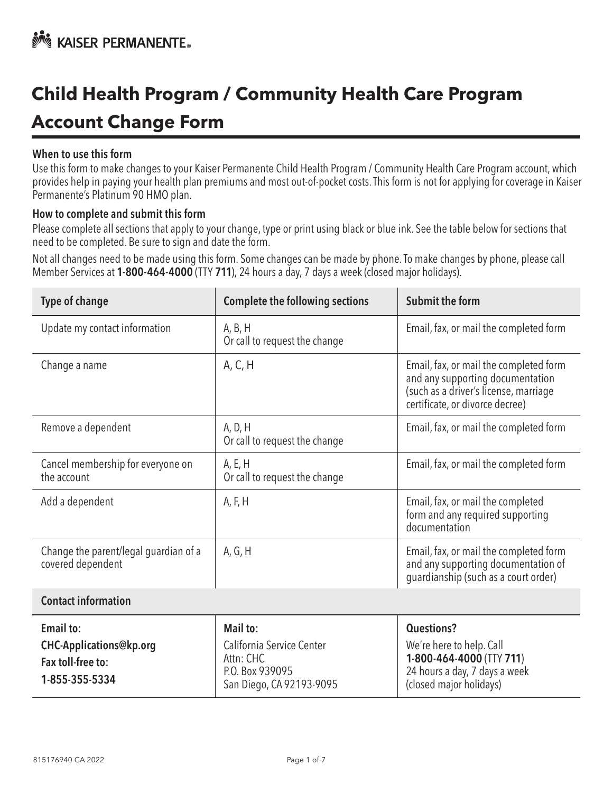# **Child Health Program / Community Health Care Program Account Change Form**

#### When to use this form

Use this form to make changes to your Kaiser Permanente Child Health Program / Community Health Care Program account, which provides help in paying your health plan premiums and most out-of-pocket costs. This form is not for applying for coverage in Kaiser Permanente's Platinum 90 HMO plan.

#### How to complete and submit this form

Please complete all sections that apply to your change, type or print using black or blue ink. See the table below for sections that need to be completed. Be sure to sign and date the form.

Not all changes need to be made using this form. Some changes can be made by phone. To make changes by phone, please call Member Services at 1-800-464-4000 (TTY 711), 24 hours a day, 7 days a week (closed major holidays).

| <b>Type of change</b>                                                              | <b>Complete the following sections</b>                                                            | <b>Submit the form</b>                                                                                                                                                                                          |  |
|------------------------------------------------------------------------------------|---------------------------------------------------------------------------------------------------|-----------------------------------------------------------------------------------------------------------------------------------------------------------------------------------------------------------------|--|
| Update my contact information                                                      | A, B, H<br>Or call to request the change                                                          | Email, fax, or mail the completed form                                                                                                                                                                          |  |
| Change a name                                                                      | A, C, H                                                                                           | Email, fax, or mail the completed form<br>and any supporting documentation<br>(such as a driver's license, marriage<br>certificate, or divorce decree)                                                          |  |
| Remove a dependent                                                                 | A, D, H<br>Or call to request the change                                                          | Email, fax, or mail the completed form                                                                                                                                                                          |  |
| Cancel membership for everyone on<br>the account                                   | A, E, H<br>Or call to request the change                                                          | Email, fax, or mail the completed form                                                                                                                                                                          |  |
| Add a dependent                                                                    | A, F, H                                                                                           | Email, fax, or mail the completed<br>form and any required supporting<br>documentation<br>Email, fax, or mail the completed form<br>and any supporting documentation of<br>guardianship (such as a court order) |  |
| Change the parent/legal guardian of a<br>covered dependent                         | A, G, H                                                                                           |                                                                                                                                                                                                                 |  |
| <b>Contact information</b>                                                         |                                                                                                   |                                                                                                                                                                                                                 |  |
| <b>Email to:</b><br>CHC-Applications@kp.org<br>Fax toll-free to:<br>1-855-355-5334 | Mail to:<br>California Service Center<br>Attn: CHC<br>P.O. Box 939095<br>San Diego, CA 92193-9095 | <b>Questions?</b><br>We're here to help. Call<br>1-800-464-4000 (TTY 711)<br>24 hours a day, 7 days a week<br>(closed major holidays)                                                                           |  |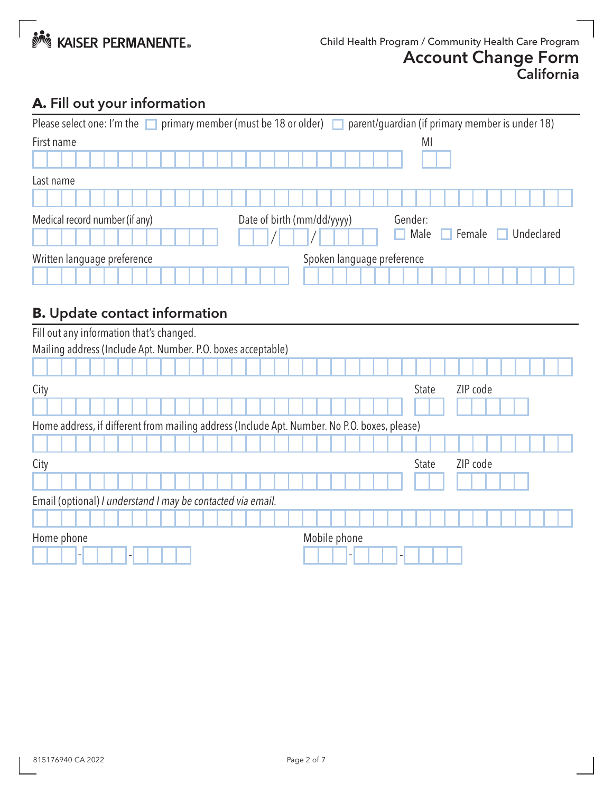

# **A.** Fill out your information

| primary member (must be 18 or older) $\Box$ parent/guardian (if primary member is under 18)<br>Please select one: I'm the |                            |                              |  |  |
|---------------------------------------------------------------------------------------------------------------------------|----------------------------|------------------------------|--|--|
| First name                                                                                                                |                            | MI                           |  |  |
|                                                                                                                           |                            |                              |  |  |
| Last name                                                                                                                 |                            |                              |  |  |
|                                                                                                                           |                            |                              |  |  |
| Medical record number (if any)                                                                                            | Date of birth (mm/dd/yyyy) | Gender:                      |  |  |
|                                                                                                                           |                            | Male<br>Undeclared<br>Female |  |  |
| Written language preference                                                                                               | Spoken language preference |                              |  |  |
|                                                                                                                           |                            |                              |  |  |

# **B.** Update contact information

| Fill out any information that's changed.                                                     |              |              |          |  |  |
|----------------------------------------------------------------------------------------------|--------------|--------------|----------|--|--|
| Mailing address (Include Apt. Number. P.O. boxes acceptable)                                 |              |              |          |  |  |
|                                                                                              |              |              |          |  |  |
| City                                                                                         |              | <b>State</b> | ZIP code |  |  |
|                                                                                              |              |              |          |  |  |
| Home address, if different from mailing address (Include Apt. Number. No P.O. boxes, please) |              |              |          |  |  |
|                                                                                              |              |              |          |  |  |
| City                                                                                         |              | <b>State</b> | ZIP code |  |  |
|                                                                                              |              |              |          |  |  |
| Email (optional) I understand I may be contacted via email.                                  |              |              |          |  |  |
|                                                                                              |              |              |          |  |  |
| Home phone                                                                                   | Mobile phone |              |          |  |  |
|                                                                                              |              |              |          |  |  |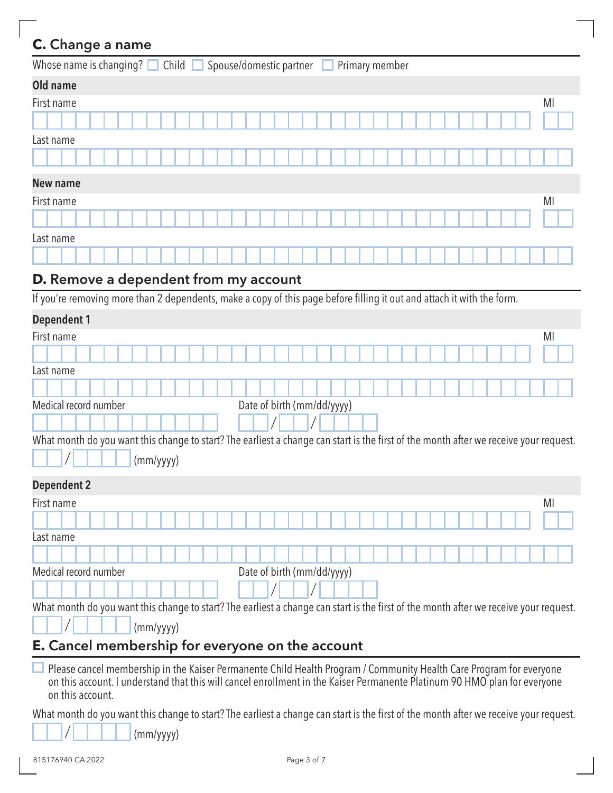# **C.** Change a name

| Whose name is changing? $\Box$ Child $\Box$ Spouse/domestic partner $\Box$<br>Primary member |    |
|----------------------------------------------------------------------------------------------|----|
| Old name                                                                                     |    |
| First name                                                                                   | MI |
|                                                                                              |    |
| Last name                                                                                    |    |
|                                                                                              |    |
| <b>New name</b>                                                                              |    |
| First name                                                                                   | MI |
|                                                                                              |    |
| Last name                                                                                    |    |
|                                                                                              |    |

# **D.** Remove a dependent from my account

If you're removing more than 2 dependents, make a copy of this page before filling it out and attach it with the form.

| First name                                                                                                                                                                                                                                                           | MI |  |
|----------------------------------------------------------------------------------------------------------------------------------------------------------------------------------------------------------------------------------------------------------------------|----|--|
|                                                                                                                                                                                                                                                                      |    |  |
| Last name                                                                                                                                                                                                                                                            |    |  |
|                                                                                                                                                                                                                                                                      |    |  |
| Date of birth (mm/dd/yyyy)<br>Medical record number                                                                                                                                                                                                                  |    |  |
|                                                                                                                                                                                                                                                                      |    |  |
| What month do you want this change to start? The earliest a change can start is the first of the month after we receive your request.                                                                                                                                |    |  |
| (mm/yyyy)                                                                                                                                                                                                                                                            |    |  |
| <b>Dependent 2</b>                                                                                                                                                                                                                                                   |    |  |
| First name                                                                                                                                                                                                                                                           | MI |  |
|                                                                                                                                                                                                                                                                      |    |  |
| Last name                                                                                                                                                                                                                                                            |    |  |
|                                                                                                                                                                                                                                                                      |    |  |
| Medical record number<br>Date of birth (mm/dd/yyyy)                                                                                                                                                                                                                  |    |  |
|                                                                                                                                                                                                                                                                      |    |  |
| What month do you want this change to start? The earliest a change can start is the first of the month after we receive your request.                                                                                                                                |    |  |
| (mm/yyyy)                                                                                                                                                                                                                                                            |    |  |
| <b>E.</b> Cancel membership for everyone on the account                                                                                                                                                                                                              |    |  |
| Please cancel membership in the Kaiser Permanente Child Health Program / Community Health Care Program for everyone<br>on this account. I understand that this will cancel enrollment in the Kaiser Permanente Platinum 90 HMO plan for everyone<br>on this account. |    |  |
| What month do you want this change to start? The earliest a change can start is the first of the month after we receive your request.                                                                                                                                |    |  |

 $\Box$  (mm/yyyy)  $\mathcal{L}$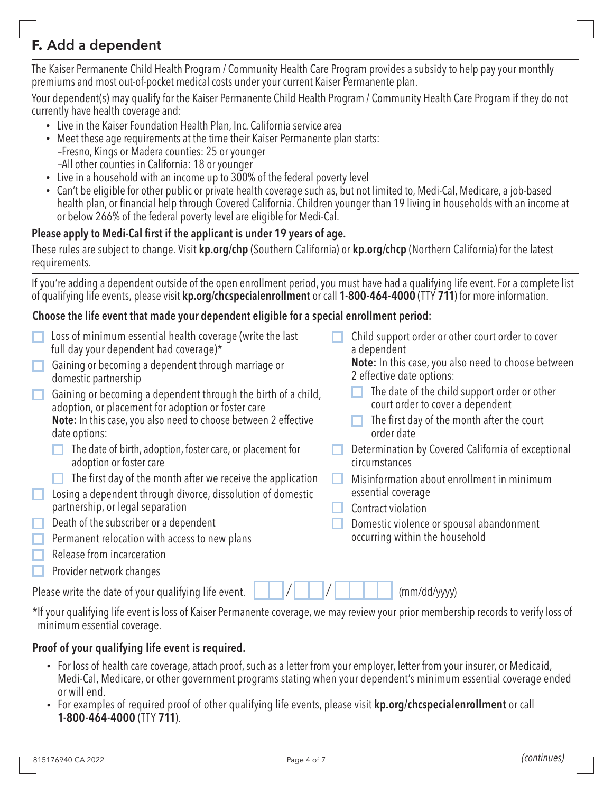# **F.** Add a dependent

The Kaiser Permanente Child Health Program / Community Health Care Program provides a subsidy to help pay your monthly premiums and most out-of-pocket medical costs under your current Kaiser Permanente plan.

Your dependent(s) may qualify for the Kaiser Permanente Child Health Program / Community Health Care Program if they do not currently have health coverage and:

- Live in the Kaiser Foundation Health Plan, Inc. California service area
- Meet these age requirements at the time their Kaiser Permanente plan starts: –Fresno, Kings or Madera counties: 25 or younger –All other counties in California: 18 or younger
- Live in a household with an income up to 300% of the federal poverty level
- Can't be eligible for other public or private health coverage such as, but not limited to, Medi-Cal, Medicare, a job-based health plan, or financial help through Covered California. Children younger than 19 living in households with an income at or below 266% of the federal poverty level are eligible for Medi-Cal.

#### Please apply to Medi-Cal first if the applicant is under 19 years of age.

These rules are subject to change. Visit **[kp.org/chp](https://kp.org/chp)** (Southern California) or **kp.org/chcp** (Northern California) for the latest requirements.

If you're adding a dependent outside of the open enrollment period, you must have had a qualifying life event. For a complete list of qualifying life events, please visit [kp.org/chcspecialenrollment](https://kp.org/chcspecialenrollment) or call 1-800-464-4000 (TTY 711) for more information.

#### Choose the life event that made your dependent eligible for a special enrollment period:

| Loss of minimum essential health coverage (write the last<br>full day your dependent had coverage)*                                                                |  | Child support order or other court order to cover<br>a dependent<br><b>Note:</b> In this case, you also need to choose between |  |
|--------------------------------------------------------------------------------------------------------------------------------------------------------------------|--|--------------------------------------------------------------------------------------------------------------------------------|--|
| Gaining or becoming a dependent through marriage or<br>domestic partnership                                                                                        |  | 2 effective date options:                                                                                                      |  |
| Gaining or becoming a dependent through the birth of a child,<br>adoption, or placement for adoption or foster care                                                |  | The date of the child support order or other<br>court order to cover a dependent                                               |  |
| Note: In this case, you also need to choose between 2 effective<br>date options:                                                                                   |  | The first day of the month after the court<br>order date                                                                       |  |
| The date of birth, adoption, foster care, or placement for<br>adoption or foster care                                                                              |  | Determination by Covered California of exceptional<br>circumstances                                                            |  |
| The first day of the month after we receive the application                                                                                                        |  | Misinformation about enrollment in minimum                                                                                     |  |
| Losing a dependent through divorce, dissolution of domestic                                                                                                        |  | essential coverage                                                                                                             |  |
| partnership, or legal separation                                                                                                                                   |  | Contract violation                                                                                                             |  |
| Death of the subscriber or a dependent                                                                                                                             |  | Domestic violence or spousal abandonment                                                                                       |  |
| Permanent relocation with access to new plans                                                                                                                      |  | occurring within the household                                                                                                 |  |
| Release from incarceration                                                                                                                                         |  |                                                                                                                                |  |
| Provider network changes                                                                                                                                           |  |                                                                                                                                |  |
| Please write the date of your qualifying life event.                                                                                                               |  | (mm/dd/yyyy)                                                                                                                   |  |
| *If your qualifying life event is loss of Kaiser Permanente coverage, we may review your prior membership records to verify loss of<br>minimum essential coverage. |  |                                                                                                                                |  |

#### Proof of your qualifying life event is required.

- For loss of health care coverage, attach proof, such as a letter from your employer, letter from your insurer, or Medicaid, Medi-Cal, Medicare, or other government programs stating when your dependent's minimum essential coverage ended or will end.
- For examples of required proof of other qualifying life events, please visit [kp.org/chcspecialenrollment](https://kp.org/chcspecialenrollment) or call 1-800-464-4000 (TTY 711).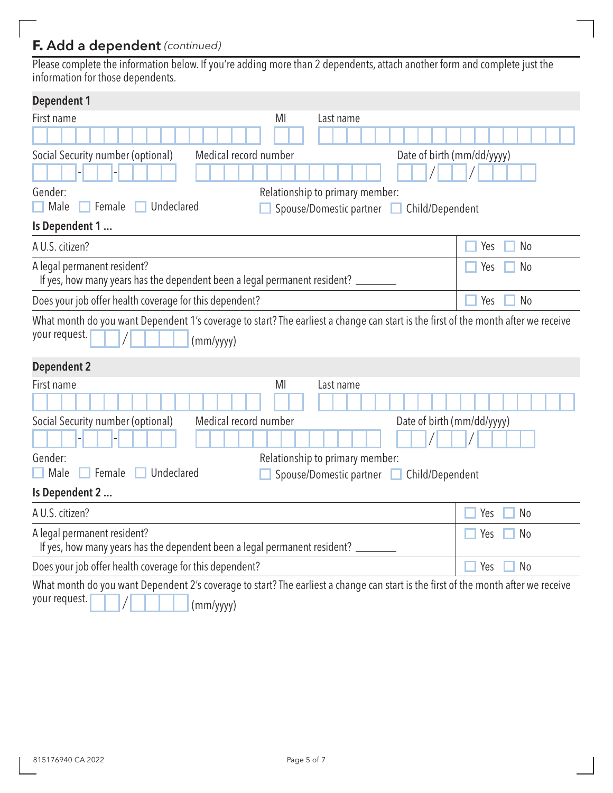# **F.** Add a dependent *(continued)*

Please complete the information below. If you're adding more than 2 dependents, attach another form and complete just the information for those dependents.

| <b>Dependent 1</b>                                                                                                                                               |                       |  |  |  |
|------------------------------------------------------------------------------------------------------------------------------------------------------------------|-----------------------|--|--|--|
| First name<br>MI<br>Last name                                                                                                                                    |                       |  |  |  |
|                                                                                                                                                                  |                       |  |  |  |
| Social Security number (optional)<br>Medical record number<br>Date of birth (mm/dd/yyyy)                                                                         |                       |  |  |  |
|                                                                                                                                                                  |                       |  |  |  |
| Gender:<br>Relationship to primary member:                                                                                                                       |                       |  |  |  |
| Undeclared<br>Male<br>Female<br>Spouse/Domestic partner<br>$\Box$ Child/Dependent                                                                                |                       |  |  |  |
| Is Dependent 1                                                                                                                                                   |                       |  |  |  |
| A U.S. citizen?                                                                                                                                                  | Yes<br>N <sub>o</sub> |  |  |  |
| A legal permanent resident?                                                                                                                                      | N <sub>o</sub><br>Yes |  |  |  |
| If yes, how many years has the dependent been a legal permanent resident?                                                                                        |                       |  |  |  |
| Does your job offer health coverage for this dependent?                                                                                                          | Yes<br><b>No</b>      |  |  |  |
| What month do you want Dependent 1's coverage to start? The earliest a change can start is the first of the month after we receive<br>your request.<br>(mm/yyyy) |                       |  |  |  |
| <b>Dependent 2</b>                                                                                                                                               |                       |  |  |  |
| First name<br>MI<br>Last name                                                                                                                                    |                       |  |  |  |
|                                                                                                                                                                  |                       |  |  |  |
| Social Security number (optional)<br>Medical record number<br>Date of birth (mm/dd/yyyy)                                                                         |                       |  |  |  |
|                                                                                                                                                                  |                       |  |  |  |
| Gender:<br>Relationship to primary member:                                                                                                                       |                       |  |  |  |
| Undeclared<br>Male<br>Female<br>Spouse/Domestic partner   Child/Dependent                                                                                        |                       |  |  |  |
| Is Dependent 2                                                                                                                                                   |                       |  |  |  |
| A U.S. citizen?                                                                                                                                                  | N <sub>0</sub><br>Yes |  |  |  |
| A legal permanent resident?                                                                                                                                      | N <sub>0</sub><br>Yes |  |  |  |
| If yes, how many years has the dependent been a legal permanent resident? _                                                                                      |                       |  |  |  |
| Does your job offer health coverage for this dependent?                                                                                                          | N <sub>o</sub><br>Yes |  |  |  |
| What month do you want Dependent 2's coverage to start? The earliest a change can start is the first of the month after we receive<br>your request.<br>(mm/yyyy) |                       |  |  |  |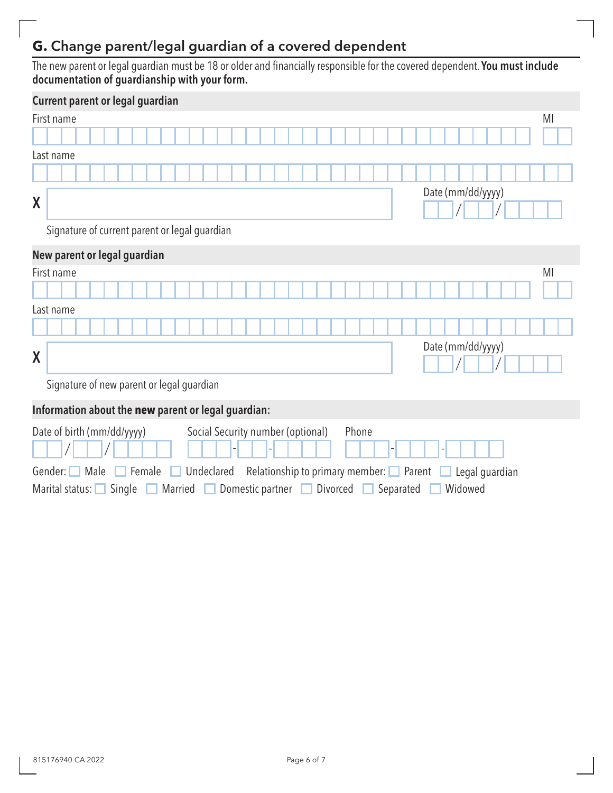# **G.** Change parent/legal guardian of a covered dependent

The new parent or legal guardian must be 18 or older and financially responsible for the covered dependent. You must include documentation of guardianship with your form.

|                                                                                                               | Current parent or legal guardian                                                                    |  |  |  |
|---------------------------------------------------------------------------------------------------------------|-----------------------------------------------------------------------------------------------------|--|--|--|
|                                                                                                               | MI<br>First name                                                                                    |  |  |  |
|                                                                                                               |                                                                                                     |  |  |  |
|                                                                                                               | Last name                                                                                           |  |  |  |
|                                                                                                               |                                                                                                     |  |  |  |
| X                                                                                                             | Date (mm/dd/yyyy)                                                                                   |  |  |  |
|                                                                                                               | Signature of current parent or legal guardian                                                       |  |  |  |
|                                                                                                               | New parent or legal guardian                                                                        |  |  |  |
|                                                                                                               | MI<br>First name                                                                                    |  |  |  |
|                                                                                                               |                                                                                                     |  |  |  |
|                                                                                                               | Last name                                                                                           |  |  |  |
|                                                                                                               |                                                                                                     |  |  |  |
| X                                                                                                             | Date (mm/dd/yyyy)                                                                                   |  |  |  |
|                                                                                                               | Signature of new parent or legal guardian                                                           |  |  |  |
|                                                                                                               | Information about the new parent or legal guardian:                                                 |  |  |  |
|                                                                                                               | Date of birth (mm/dd/yyyy)<br>Social Security number (optional)<br>Phone                            |  |  |  |
| Undeclared<br>Relationship to primary member: $\Box$<br>Parent<br>Gender:<br>Male<br>Female<br>Legal guardian |                                                                                                     |  |  |  |
|                                                                                                               | Widowed<br>Single<br>Domestic partner<br>Divorced<br>Separated<br>Marital status: $\Box$<br>Married |  |  |  |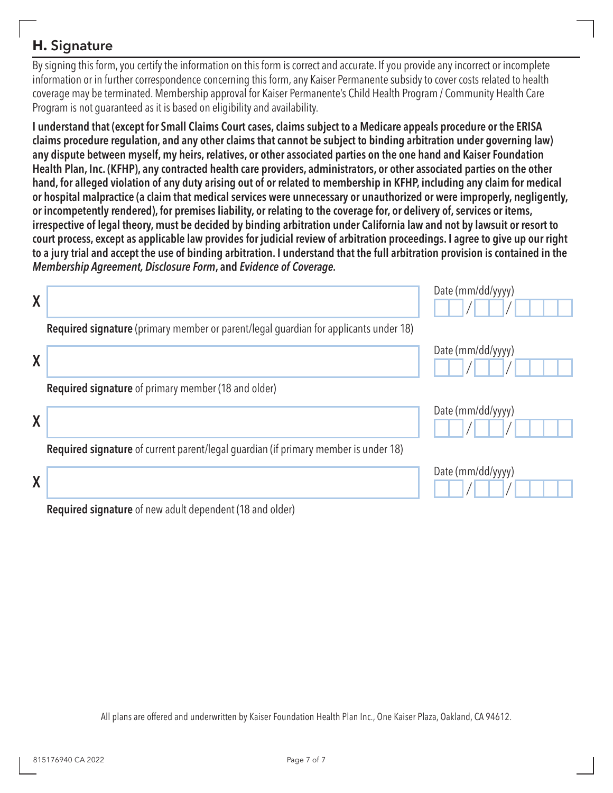### **H.** Signature

By signing this form, you certify the information on this form is correct and accurate. If you provide any incorrect or incomplete information or in further correspondence concerning this form, any Kaiser Permanente subsidy to cover costs related to health coverage may be terminated. Membership approval for Kaiser Permanente's Child Health Program / Community Health Care Program is not guaranteed as it is based on eligibility and availability.

I understand that (except for Small Claims Court cases, claims subject to a Medicare appeals procedure or the ERISA claims procedure regulation, and any other claims that cannot be subject to binding arbitration under governing law) any dispute between myself, my heirs, relatives, or other associated parties on the one hand and Kaiser Foundation Health Plan, Inc. (KFHP), any contracted health care providers, administrators, or other associated parties on the other hand, for alleged violation of any duty arising out of or related to membership in KFHP, including any claim for medical or hospital malpractice (a claim that medical services were unnecessary or unauthorized or were improperly, negligently, or incompetently rendered), for premises liability, or relating to the coverage for, or delivery of, services or items, irrespective of legal theory, must be decided by binding arbitration under California law and not by lawsuit or resort to court process, except as applicable law provides for judicial review of arbitration proceedings. I agree to give up our right to a jury trial and accept the use of binding arbitration. I understand that the full arbitration provision is contained in the *Membership Agreement, Disclosure Form*, and *Evidence of Coverage.* 

| $\boldsymbol{X}$ |                                                                                      | Date (mm/dd/yyyy) |
|------------------|--------------------------------------------------------------------------------------|-------------------|
|                  | Required signature (primary member or parent/legal guardian for applicants under 18) |                   |
| X                |                                                                                      | Date (mm/dd/yyyy) |
|                  | <b>Required signature</b> of primary member (18 and older)                           |                   |
| X                |                                                                                      | Date (mm/dd/yyyy) |
|                  | Required signature of current parent/legal guardian (if primary member is under 18)  |                   |
| X                |                                                                                      | Date (mm/dd/yyyy) |
|                  | <b>Required signature</b> of new adult dependent (18 and older)                      |                   |

All plans are offered and underwritten by Kaiser Foundation Health Plan Inc., One Kaiser Plaza, Oakland, CA 94612.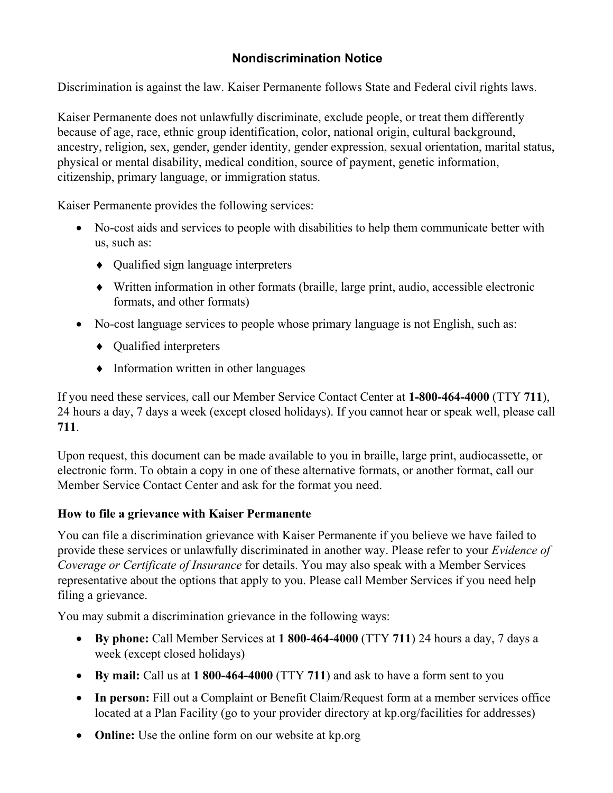### **Nondiscrimination Notice**

Discrimination is against the law. Kaiser Permanente follows State and Federal civil rights laws.

Kaiser Permanente does not unlawfully discriminate, exclude people, or treat them differently because of age, race, ethnic group identification, color, national origin, cultural background, ancestry, religion, sex, gender, gender identity, gender expression, sexual orientation, marital status, physical or mental disability, medical condition, source of payment, genetic information, citizenship, primary language, or immigration status.

Kaiser Permanente provides the following services:

- No-cost aids and services to people with disabilities to help them communicate better with us, such as:
	- Qualified sign language interpreters
	- Written information in other formats (braille, large print, audio, accessible electronic formats, and other formats)
- No-cost language services to people whose primary language is not English, such as:
	- Qualified interpreters
	- Information written in other languages

If you need these services, call our Member Service Contact Center at **1-800-464-4000** (TTY **711**), 24 hours a day, 7 days a week (except closed holidays). If you cannot hear or speak well, please call **711**.

Upon request, this document can be made available to you in braille, large print, audiocassette, or electronic form. To obtain a copy in one of these alternative formats, or another format, call our Member Service Contact Center and ask for the format you need.

#### **How to file a grievance with Kaiser Permanente**

You can file a discrimination grievance with Kaiser Permanente if you believe we have failed to provide these services or unlawfully discriminated in another way. Please refer to your *Evidence of Coverage or Certificate of Insurance* for details. You may also speak with a Member Services representative about the options that apply to you. Please call Member Services if you need help filing a grievance.

You may submit a discrimination grievance in the following ways:

- **By phone:** Call Member Services at **1 800-464-4000** (TTY **711**) 24 hours a day, 7 days a week (except closed holidays)
- **By mail:** Call us at **1 800-464-4000** (TTY **711**) and ask to have a form sent to you
- In person: Fill out a Complaint or Benefit Claim/Request form at a member services office located at a Plan Facility (go to your provider directory at [kp.org/facilities](https://kp.org/facilities) for addresses)
- **Online:** Use the online form on our website at [kp.org](http://kp.org/)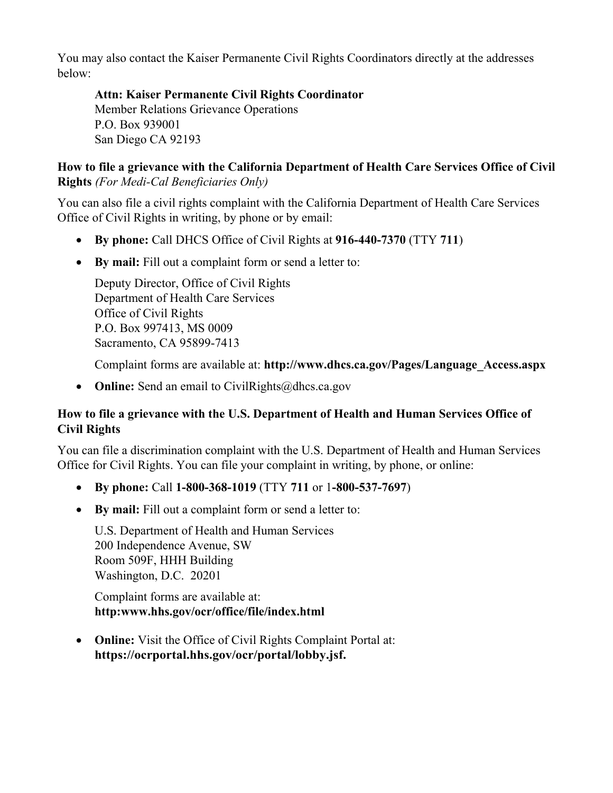You may also contact the Kaiser Permanente Civil Rights Coordinators directly at the addresses below:

**Attn: Kaiser Permanente Civil Rights Coordinator**  Member Relations Grievance Operations P.O. Box 939001 San Diego CA 92193

#### **How to file a grievance with the California Department of Health Care Services Office of Civil Rights** *(For Medi-Cal Beneficiaries Only)*

You can also file a civil rights complaint with the California Department of Health Care Services Office of Civil Rights in writing, by phone or by email:

- **By phone:** Call DHCS Office of Civil Rights at **916-440-7370** (TTY **711**)
- **By mail:** Fill out a complaint form or send a letter to:

Deputy Director, Office of Civil Rights Department of Health Care Services Office of Civil Rights P.O. Box 997413, MS 0009 Sacramento, CA 95899-7413

Complaint forms are available at: **[http://www.dhcs.ca.gov/Pages/Language\\_Access.aspx](http://www.dhcs.ca.gov/Pages/Language_Access.aspx)** 

• **Online:** Send an email to CivilRights@dhcs.ca.gov

#### **How to file a grievance with the U.S. Department of Health and Human Services Office of Civil Rights**

 Office for Civil Rights. You can file your complaint in writing, by phone, or online: You can file a discrimination complaint with the U.S. Department of Health and Human Services

- **By phone:** Call **1-800-368-1019** (TTY **711** or 1**-800-537-7697**)
- **By mail:** Fill out a complaint form or send a letter to:

 Room 509F, HHH Building U.S. Department of Health and Human Services 200 Independence Avenue, SW Washington, D.C. 20201

Complaint forms are available at: **<http:www.hhs.gov/ocr/office/file/index.html>** 

• **Online:** Visit the Office of Civil Rights Complaint Portal at: **[https://ocrportal.hhs.gov/ocr/portal/lobby.jsf.](https://ocrportal.hhs.gov/ocr/portal/lobby.jsf)**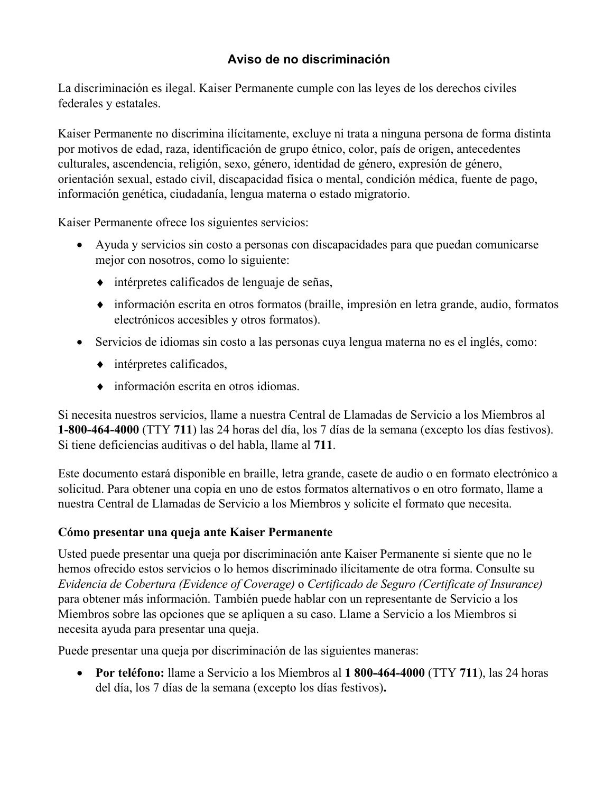### **Aviso de no discriminación**

La discriminación es ilegal. Kaiser Permanente cumple con las leyes de los derechos civiles federales y estatales.

Kaiser Permanente no discrimina ilícitamente, excluye ni trata a ninguna persona de forma distinta por motivos de edad, raza, identificación de grupo étnico, color, país de origen, antecedentes culturales, ascendencia, religión, sexo, género, identidad de género, expresión de género, orientación sexual, estado civil, discapacidad física o mental, condición médica, fuente de pago, información genética, ciudadanía, lengua materna o estado migratorio.

Kaiser Permanente ofrece los siguientes servicios:

- Ayuda y servicios sin costo a personas con discapacidades para que puedan comunicarse mejor con nosotros, como lo siguiente:
	- intérpretes calificados de lenguaje de señas,
	- información escrita en otros formatos (braille, impresión en letra grande, audio, formatos electrónicos accesibles y otros formatos).
- Servicios de idiomas sin costo a las personas cuya lengua materna no es el inglés, como:
	- $\leftrightarrow$  intérpretes calificados,
	- información escrita en otros idiomas.

Si necesita nuestros servicios, llame a nuestra Central de Llamadas de Servicio a los Miembros al **1-800-464-4000** (TTY **711**) las 24 horas del día, los 7 días de la semana (excepto los días festivos). Si tiene deficiencias auditivas o del habla, llame al **711**.

Este documento estará disponible en braille, letra grande, casete de audio o en formato electrónico a solicitud. Para obtener una copia en uno de estos formatos alternativos o en otro formato, llame a nuestra Central de Llamadas de Servicio a los Miembros y solicite el formato que necesita.

#### **Cómo presentar una queja ante Kaiser Permanente**

Usted puede presentar una queja por discriminación ante Kaiser Permanente si siente que no le hemos ofrecido estos servicios o lo hemos discriminado ilícitamente de otra forma. Consulte su *Evidencia de Cobertura (Evidence of Coverage)* o *Certificado de Seguro (Certificate of Insurance)*  para obtener más información. También puede hablar con un representante de Servicio a los Miembros sobre las opciones que se apliquen a su caso. Llame a Servicio a los Miembros si necesita ayuda para presentar una queja.

Puede presentar una queja por discriminación de las siguientes maneras:

• **Por teléfono:** llame a Servicio a los Miembros al **1 800-464-4000** (TTY **711**), las 24 horas del día, los 7 días de la semana (excepto los días festivos)**.**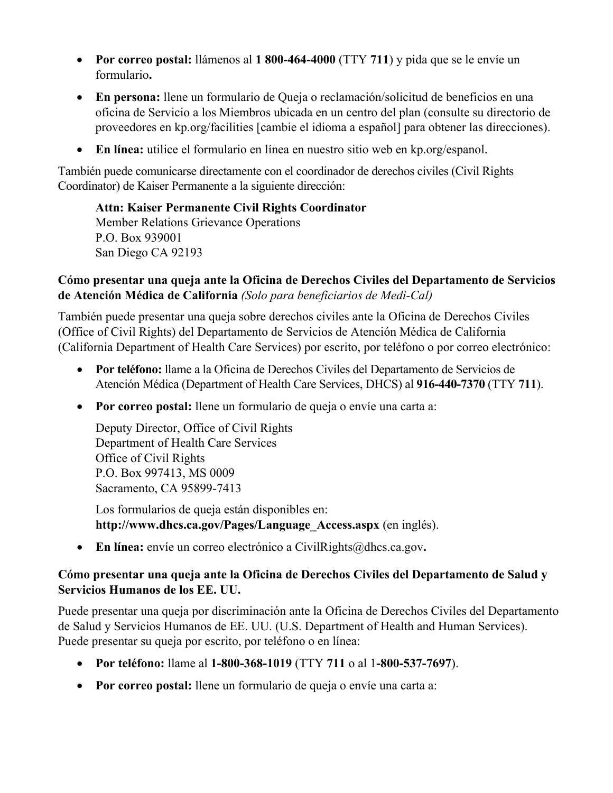- **Por correo postal:** llámenos al **1 800-464-4000** (TTY **711**) y pida que se le envíe un formulario**.**
- **En persona:** llene un formulario de Queja o reclamación/solicitud de beneficios en una oficina de Servicio a los Miembros ubicada en un centro del plan (consulte su directorio de proveedores en [kp.org/facilities](https://kp.org/facilities) [cambie el idioma a español] para obtener las direcciones).
- **En línea:** utilice el formulario en línea en nuestro sitio web en [kp.org/espanol](https://kp.org/espanol).

También puede comunicarse directamente con el coordinador de derechos civiles (Civil Rights Coordinator) de Kaiser Permanente a la siguiente dirección:

**Attn: Kaiser Permanente Civil Rights Coordinator**  Member Relations Grievance Operations P.O. Box 939001 San Diego CA 92193

#### **Cómo presentar una queja ante la Oficina de Derechos Civiles del Departamento de Servicios de Atención Médica de California** *(Solo para beneficiarios de Medi-Cal)*

También puede presentar una queja sobre derechos civiles ante la Oficina de Derechos Civiles (Office of Civil Rights) del Departamento de Servicios de Atención Médica de California (California Department of Health Care Services) por escrito, por teléfono o por correo electrónico:

- Atención Médica (Department of Health Care Services, DHCS) al **916-440-7370** (TTY **711**). • **Por teléfono:** llame a la Oficina de Derechos Civiles del Departamento de Servicios de
- **Por correo postal:** llene un formulario de queja o envíe una carta a:

Deputy Director, Office of Civil Rights Department of Health Care Services Office of Civil Rights P.O. Box 997413, MS 0009 Sacramento, CA 95899-7413

Los formularios de queja están disponibles en: **[http://www.dhcs.ca.gov/Pages/Language\\_Access.aspx](http://www.dhcs.ca.gov/Pages/Language_Access.aspx)** (en inglés).

• **En línea:** envíe un correo electrónico a [CivilRights@dhcs.ca.gov](mailto:CivilRights@dhcs.ca.gov).

#### **Cómo presentar una queja ante la Oficina de Derechos Civiles del Departamento de Salud y Servicios Humanos de los EE. UU.**

Puede presentar una queja por discriminación ante la Oficina de Derechos Civiles del Departamento de Salud y Servicios Humanos de EE. UU. (U.S. Department of Health and Human Services). Puede presentar su queja por escrito, por teléfono o en línea:

- **Por teléfono:** llame al **1-800-368-1019** (TTY **711** o al 1**-800-537-7697**).
- **Por correo postal:** llene un formulario de queja o envíe una carta a: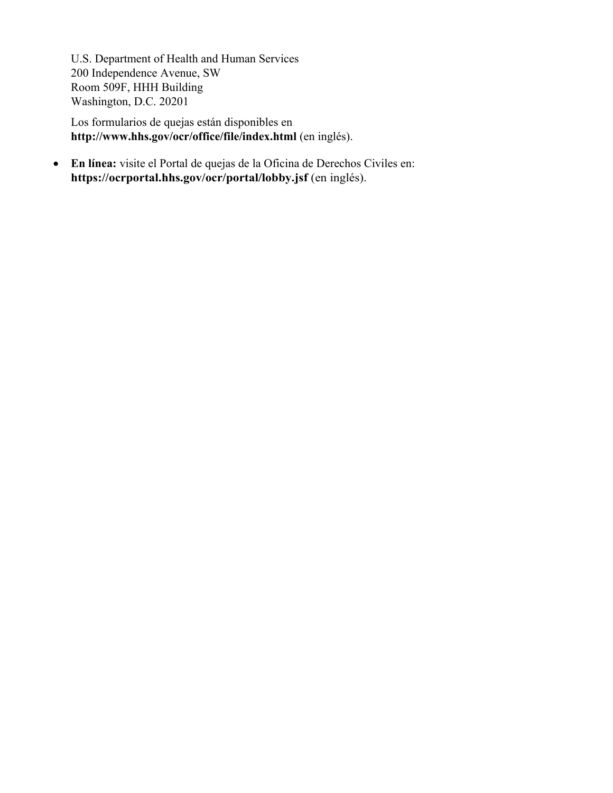Room 509F, HHH Building U.S. Department of Health and Human Services 200 Independence Avenue, SW Washington, D.C. 20201

 Los formularios de quejas están disponibles en **<http://www.hhs.gov/ocr/office/file/index.html>** (en inglés).

• **En línea:** visite el Portal de quejas de la Oficina de Derechos Civiles en: **<https://ocrportal.hhs.gov/ocr/portal/lobby.jsf>** (en inglés).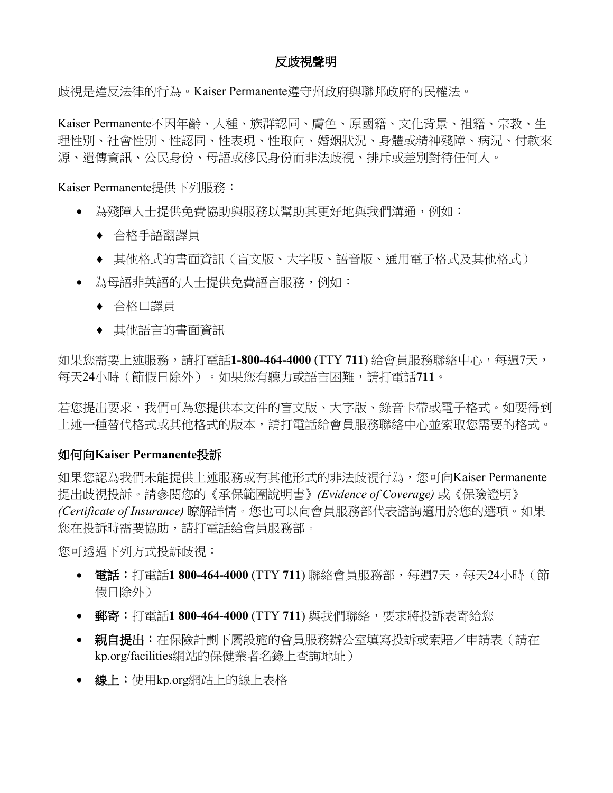#### 反歧視聲明

歧視是違反法律的行為。Kaiser Permanente遵守州政府與聯邦政府的民權法。

Kaiser Permanente不因年齡、人種、族群認同、膚色、原國籍、文化背景、祖籍、宗教、生 理性別、社會性別、性認同、性表現、性取向、婚姻狀況、身體或精神殘障、病況、付款來 源、遺傳資訊、公民身份、母語或移民身份而非法歧視、排斥或差別對待任何人。

Kaiser Permanente提供下列服務:

- 為殘障人士提供免費協助與服務以幫助其更好地與我們溝通,例如:
	- 合格手語翻譯員
	- 其他格式的書面資訊(盲文版、大字版、語音版、通用電子格式及其他格式)
- 為母語非英語的人士提供免費語言服務,例如:
	- 合格口譯員
	- 其他語言的書面資訊

如果您需要上述服務,請打電話1-800-464-4000 (TTY 711) 給會員服務聯絡中心,每週7天, 每天24小時(節假日除外)。如果您有聽力或語言困難,請打電話**711**。

若您提出要求,我們可為您提供本文件的盲文版、大字版、錄音卡帶或電子格式。如要得到 上述一種替代格式或其他格式的版本,請打電話給會員服務聯絡中心並索取您需要的格式。

#### 如何向Kaiser Permanente投訴

如果您認為我們未能提供上述服務或有其他形式的非法歧視行為,您可向Kaiser Permanente 提出歧視投訴。請參閱您的《承保範圍說明書》*(Evidence of Coverage)* 或《保險證明》 *(Certificate of Insurance)* 瞭解詳情。您也可以向會員服務部代表諮詢適用於您的選項。如果 您在投訴時需要協助,請打電話給會員服務部。

您可透過下列方式投訴歧視:

- **電話:**打電話1 800-464-4000 (TTY 711) 聯絡會員服務部,每週7天,每天24小時(節 假日除外)
- 郵寄: 郵寄:打電話**1 800-464-4000** (TTY **711**) 與我們聯絡,要求將投訴表寄給您
- 親自提出:在保險計劃下屬設施的會員服務辦公室填寫投訴或索賠/申請表(請在 [kp.org/facilities](http://kp.org/facilities)網站的保健業者名錄上查詢地址)
- 線上: 線上:使用[kp.org](http://kp.org/)網站上的線上表格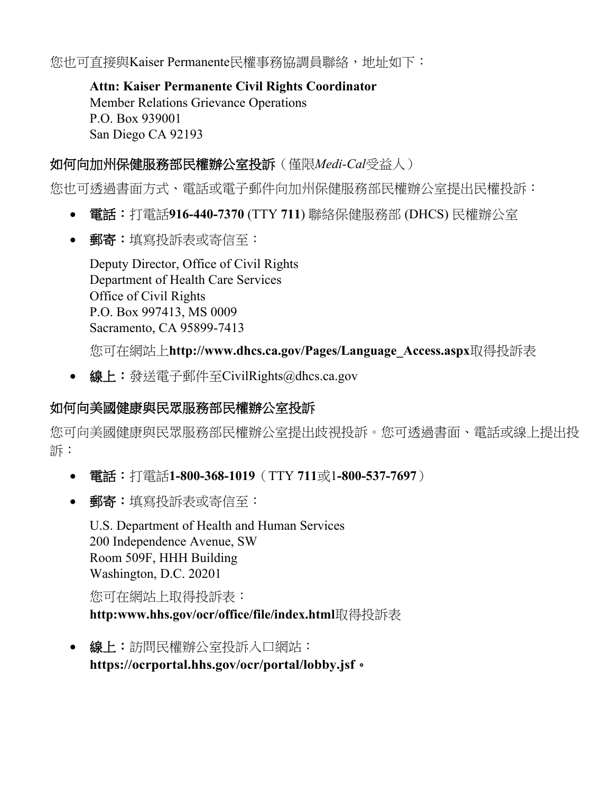您也可直接與Kaiser Permanente民權事務協調員聯絡,地址如下:

**Attn: Kaiser Permanente Civil Rights Coordinator**  Member Relations Grievance Operations P.O. Box 939001 San Diego CA 92193

### 如何向加州保健服務部民權辦公室投訴 如何向加州保健服務部民權辦公室投訴(僅限*Medi-Cal*受益人)

您也可透過書面方式、電話或電子郵件向加州保健服務部民權辦公室提出民權投訴:

- 電話: 電話:打電話**916-440-7370** (TTY **711**) 聯絡保健服務部 (DHCS) 民權辦公室
- 郵寄: 郵寄:填寫投訴表或寄信至:

Deputy Director, Office of Civil Rights Department of Health Care Services Office of Civil Rights P.O. Box 997413, MS 0009 Sacramento, CA 95899-7413

您可在網站上**[http://www.dhcs.ca.gov/Pages/Language\\_Access.aspx](http://www.dhcs.ca.gov/Pages/Language_Access.aspx)**取得投訴表

線上: • 線上:發送電子郵件至[CivilRights@dhcs.ca.gov](mailto:CivilRights@dhcs.ca.gov)

### 如何向美國健康與民眾服務部民權辦公室投訴

您可向美國健康與民眾服務部民權辦公室提出歧視投訴。您可透過書面、電話或線上提出投 訴:

- 電話: 電話:打電話**1-800-368-1019**(TTY **711**或1**-800-537-7697**)
- 郵寄:填寫投訴表或寄信至:

 Room 509F, HHH Building U.S. Department of Health and Human Services 200 Independence Avenue, SW Washington, D.C. 20201

您可在網站上取得投訴表:

**<http:www.hhs.gov/ocr/office/file/index.html>**取得投訴表

線上: • 線上:訪問民權辦公室投訴入口網站: 。 **<https://ocrportal.hhs.gov/ocr/portal/lobby.jsf>**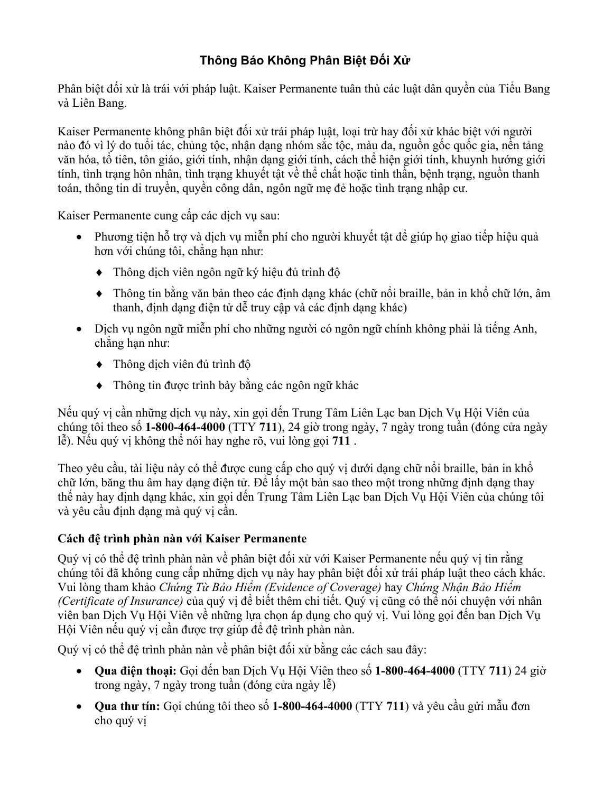### **Thông Báo Không Phân Biệt Đối Xử**

Phân biệt đối xử là trái với pháp luật. Kaiser Permanente tuân thủ các luật dân quyền của Tiểu Bang và Liên Bang.

Kaiser Permanente không phân biệt đối xử trái pháp luật, loại trừ hay đối xử khác biệt với người nào đó vì lý do tuổi tác, chủng tộc, nhận dạng nhóm sắc tộc, màu da, nguồn gốc quốc gia, nền tảng văn hóa, tổ tiên, tôn giáo, giới tính, nhận dạng giới tính, cách thể hiện giới tính, khuynh hướng giới tính, tình trạng hôn nhân, tình trạng khuyết tật về thể chất hoặc tinh thần, bệnh trạng, nguồn thanh toán, thông tin di truyền, quyền công dân, ngôn ngữ mẹ đẻ hoặc tình trạng nhập cư.

Kaiser Permanente cung cấp các dịch vụ sau:

- Phương tiện hỗ trợ và dịch vụ miễn phí cho người khuyết tật để giúp họ giao tiếp hiệu quả hơn với chúng tôi, chẳng hạn như:
	- Thông dịch viên ngôn ngữ ký hiệu đủ trình độ
	- $\bullet$  Thông tin bằng văn bản theo các định dạng khác (chữ nổi braille, bản in khổ chữ lớn, âm thanh, định dạng điện tử dễ truy cập và các định dạng khác)
- Dịch vụ ngôn ngữ miễn phí cho những người có ngôn ngữ chính không phải là tiếng Anh, chẳng hạn như:
	- $\bullet$  Thông dịch viên đủ trình đô
	- Thông tin được trình bày bằng các ngôn ngữ khác

Nếu quý vị cần những dịch vụ này, xin gọi đến Trung Tâm Liên Lạc ban Dịch Vụ Hội Viên của chúng tôi theo số **1-800-464-4000** (TTY **711**), 24 giờ trong ngày, 7 ngày trong tuần (đóng cửa ngày lễ). Nếu quý vị không thể nói hay nghe rõ, vui lòng gọi **711** .

Theo yêu cầu, tài liệu này có thể được cung cấp cho quý vị dưới dạng chữ nổi braille, bản in khổ chữ lớn, băng thu âm hay dạng điện tử. Để lấy một bản sao theo một trong những định dạng thay thế này hay định dạng khác, xin gọi đến Trung Tâm Liên Lạc ban Dịch Vụ Hội Viên của chúng tôi và yêu cầu định dạng mà quý vị cần.

#### **Cách đệ trình phàn nàn với Kaiser Permanente**

Quý vị có thể đệ trình phàn nàn về phân biệt đối xử với Kaiser Permanente nếu quý vị tin rằng chúng tôi đã không cung cấp những dịch vụ này hay phân biệt đối xử trái pháp luật theo cách khác. Vui lòng tham khảo *Chứng Từ Bảo Hiểm (Evidence of Coverage)* hay *Chứng Nhận Bảo Hiểm (Certificate of Insurance)* của quý vị để biết thêm chi tiết. Quý vị cũng có thể nói chuyện với nhân viên ban Dịch Vu Hội Viên về những lưa chon áp dụng cho quý vị. Vui lòng gọi đến ban Dịch Vu Hội Viên nếu quý vị cần được trợ giúp để đệ trình phàn nàn.

Quý vị có thể đệ trình phàn nàn về phân biệt đối xử bằng các cách sau đây:

- **Qua điện thoại:** Gọi đến ban Dịch Vụ Hội Viên theo số **1-800-464-4000** (TTY **711**) 24 giờ trong ngày, 7 ngày trong tuần (đóng cửa ngày lễ)
- cho quý vị• **Qua thư tín:** Gọi chúng tôi theo số **1-800-464-4000** (TTY **711**) và yêu cầu gửi mẫu đơn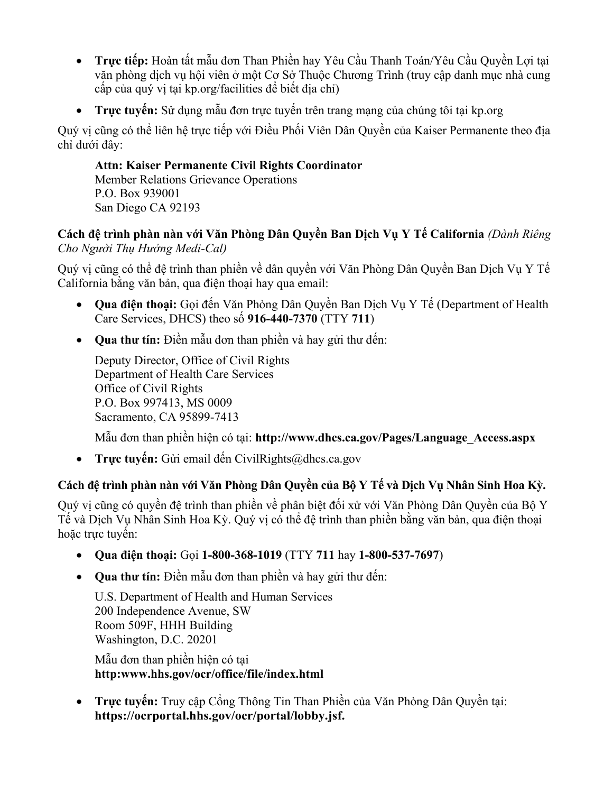- **Trực tiếp:** Hoàn tất mẫu đơn Than Phiền hay Yêu Cầu Thanh Toán/Yêu Cầu Quyền Lợi tại văn phòng dịch vụ hội viên ở một Cơ Sở Thuộc Chương Trình (truy cập danh mục nhà cung cấp của quý vị tại [kp.org/facilities](https://kp.org/facilities) để biết địa chỉ)
- **Trực tuyến:** Sử dụng mẫu đơn trực tuyến trên trang mạng của chúng tôi tại [kp.org](http://kp.org/)

Quý vị cũng có thể liên hệ trực tiếp với Điều Phối Viên Dân Quyền của Kaiser Permanente theo địa chỉ dưới đây:

**Attn: Kaiser Permanente Civil Rights Coordinator**  Member Relations Grievance Operations P.O. Box 939001 San Diego CA 92193

#### **Cách đệ trình phàn nàn với Văn Phòng Dân Quyền Ban Dịch Vụ Y Tế California** *(Dành Riêng Cho Người Thụ Hưởng Medi-Cal)*

Quý vị cũng có thể đệ trình than phiền về dân quyền với Văn Phòng Dân Quyền Ban Dịch Vụ Y Tế California bằng văn bản, qua điện thoại hay qua email:

- Care Services, DHCS) theo số **916-440-7370** (TTY **711**) • **Qua điện thoại:** Gọi đến Văn Phòng Dân Quyền Ban Dịch Vụ Y Tế (Department of Health
- **Qua thư tín:** Điền mẫu đơn than phiền và hay gửi thư đến:

Deputy Director, Office of Civil Rights Department of Health Care Services Office of Civil Rights P.O. Box 997413, MS 0009 Sacramento, CA 95899-7413

Mẫu đơn than phiền hiện có tại: **[http://www.dhcs.ca.gov/Pages/Language\\_Access.aspx](http://www.dhcs.ca.gov/Pages/Language_Access.aspx)** 

• **Trực tuyến:** Gửi email đến [CivilRights@dhcs.ca.gov](mailto:CivilRights@dhcs.ca.gov)

### **Cách đệ trình phàn nàn với Văn Phòng Dân Quyền của Bộ Y Tế và Dịch Vụ Nhân Sinh Hoa Kỳ.**

Quý vị cũng có quyền đệ trình than phiền về phân biệt đối xử với Văn Phòng Dân Quyền của Bộ Y Tế và Dịch Vụ Nhân Sinh Hoa Kỳ. Quý vị có thể đệ trình than phiền bằng văn bản, qua điện thoại hoặc trực tuyến:

- **Qua điện thoại:** Gọi **1-800-368-1019** (TTY **711** hay **1-800-537-7697**)
- **Qua thư tín:** Điền mẫu đơn than phiền và hay gửi thư đến:

 Room 509F, HHH Building U.S. Department of Health and Human Services 200 Independence Avenue, SW Washington, D.C. 20201

Mẫu đơn than phiền hiện có tại **<http:www.hhs.gov/ocr/office/file/index.html>** 

• **Trực tuyến:** Truy cập Cổng Thông Tin Than Phiền của Văn Phòng Dân Quyền tại: **[https://ocrportal.hhs.gov/ocr/portal/lobby.jsf.](https://ocrportal.hhs.gov/ocr/portal/lobby.jsf)**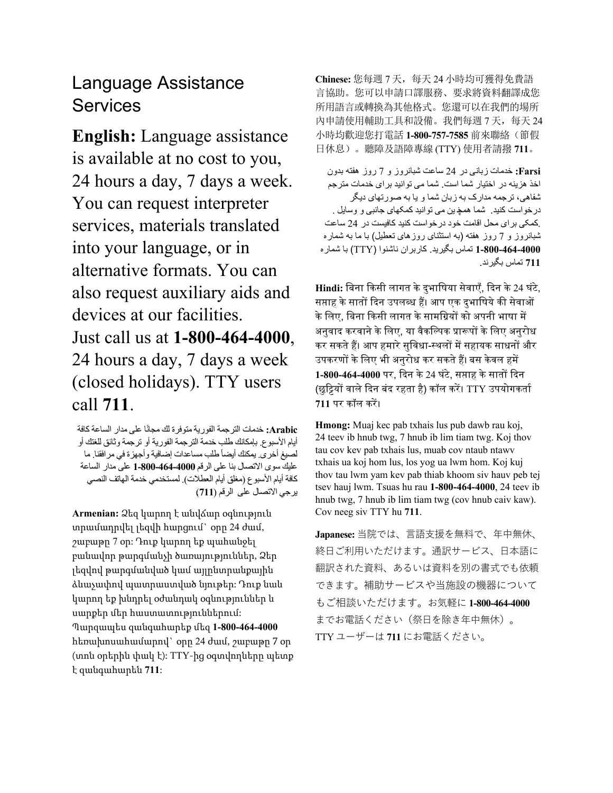# Language Assistance Services

**English:** Language assistance is available at no cost to you, 24 hours a day, 7 days a week. You can request interpreter services, materials translated into your language, or in alternative formats. You can also request auxiliary aids and devices at our facilities. Just call us at **1-800-464-4000**, 24 hours a day, 7 days a week (closed holidays). TTY users call **711**.

Arabic: خدمات الترجمة الفورية متوفرة لك مجانًا على مدار الساعة كافة أيام الأسبوع. بإمكانك طلب خدمة الترجمة الفورية أو ترجمة وثائق للغتك أو لصبغ أخر ي يمكنك أيضاً طلب مساعدات إضافية وأجهزة في مرافقنا. ما عليك سوى الاتصـل بنـا على الرقم 4000-464-1**-80** على مدار الساعة كافة أيام الأسبو ع (مغلق أيام العطلات). لمستخدمي خدمة الهاتف النصبي يرجي الاتصــل على الرقم (711)

 **Armenian:** Ձեզ կարող է անվճար օգնություն տրամադրվել լեզվի հարցում` օրը 24 ժամ, շաբաթը 7 օր: Դուք կարող եք պահանջել լեզվով թարգմանված կամ այլընտրանքային ձևաչափով պատրաստված նյութեր: Դուք նաև կարող եք խնդրել օժանդակ օգնություններ և սարքեր մեր հաստատություններում: Պարզապես զանգահարեք մեզ **1-800-464-4000**  հեռախոսահամարով` օրը 24 ժամ, շաբաթը 7 օր (տոն օրերին փակ է): TTY-ից օգտվողները պետք բանավոր թարգմանչի ծառայություններ, Ձեր է զանգահարեն **711**:

**Chinese:** 您每週 7 天,每天 24 小時均可獲得免費語 言協助。您可以申請口譯服務、要求將資料翻譯成您 所用語言或轉換為其他格式。您還可以在我們的場所 内申請使用輔助工具和設備。我們每週 7 天, 每天 24 小時均歡迎您打電話 **1-800-757-7585** 前來聯絡(節假 日休息)。聽障及語障專線 (TTY) 使用者請撥 **711**。

**Farsi: خ**دمات زبانی در 24 ساعت شبانروز و 7 روز هفته بدون شفاهی، ترجمه مدارک به زبان شما و یا به صورتهای دیگر درخواست کنید . شما همچ ین می توانید کمکهای جانبی و وسایل . <sub>.</sub> کمکی بر ای محل اقامت خود در خواست کنید کافیست در 24 ساعت شبانروز و 7 روز هفته (به استثنای روزهای تعطیل) با ما به شماره ـ **1-800-464-4000** تماس بگیرید<sub>.</sub> کاربران ناشنوا (TTY) با شمار ه **711** تماس ندبگیر . اخذ هزینه در اختیار شما است. شما می توانید بر ای خدمات مترجم

Hindi: बिना किसी लागत के दुभाषिया सेवाएँ, दिन के 24 घंटे, सप्ताह के सातों दिन उपलब्ध हैं। आप एक दुभाषिये की सेवाओं के लिए, बिना किसी लागत के सामग्रियों को अपनी भाषा में अनुवाद करवाने के लिए, या वैकल्पिक प्रारूपों के लिए अनुरोध े े 1**-800-464-4000** पर, दिन के 24 घंटे, सप्ताह के सातों दिन (छुट्टियों वाले दिन बंद रहता है) कॉल करें। TTY उपयोगकर्ता ें कर सकते हैं। आप हमारे सुविधा-स्थलों में सहायक साधनों और उपकरणों के लिए भी अनुरोध कर सकते हैं। बस केवल हमें **711** पर िॉल िर।

**Hmong:** Muaj kec pab txhais lus pub dawb rau koj, 24 teev ib hnub twg, 7 hnub ib lim tiam twg. Koj thov tau cov kev pab txhais lus, muab cov ntaub ntawv txhais ua koj hom lus, los yog ua lwm hom. Koj kuj thov tau lwm yam kev pab thiab khoom siv hauv peb tej tsev hauj lwm. Tsuas hu rau **1-800-464-4000**, 24 teev ib hnub twg, 7 hnub ib lim tiam twg (cov hnub caiv kaw). Cov neeg siv TTY hu **711**.

 もご相談いただけます。お気軽に **1-800-464-4000 Japanese:** 当院では、言語支援を無料で、年中無休、 終日ご利用いただけます。通訳サービス、日本語に 翻訳された資料、あるいは資料を別の書式でも依頼 できます。補助サービスや当施設の機器について までお電話ください(祭日を除き年中無休)。 TTYユーザーは **711** にお電話ください。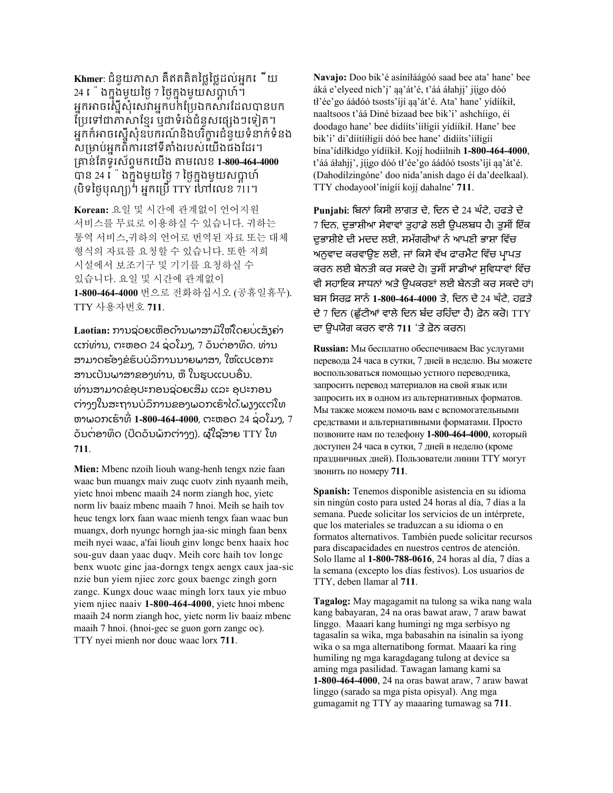**Khmer**: ជំនួយភាសា គឺឥតគិតថ្លៃថ្លៃដល់អ្នកឡ ើយ  $24$   $\mathfrak{l}$  ងក្នុងមួយថ្ងៃ 7 ថ្ងៃក្នុងមួយសប្តាហ៍ ។  $\mathfrak{p}$  as a section of the distribution of the section of  $\mathfrak{p}$  at  $\mathfrak{p}$  at  $\mathfrak{p}$  at  $\mathfrak{p}$  at  $\mathfrak{p}$  and  $\mathfrak{p}$  at  $\mathfrak{p}$  and  $\mathfrak{p}$  at អ្នកអាចស្នើសុំសេវាអ្នកបក់ប្រែឯកសារដែលបានបក ព្រៃទៅជាភាសាខ្មែរ ឬជាទំរង់ជំនួសផ្សេងៗទៀត។ អ្នកក៏អាចស្នើសុំឧបករណ៍និងបរិក្ខារជំនួយទំនាក់ទំនង សម្រាប់អ្នកពិការនៅទីតាំងរបស់យើងផងដែរ។ រាន់ប្តទូរស័ពទមកឡយើង តមឡលម **1-800-464-4000** បាន 24 េងក្នុងមួយថ្ងៃ 7 ថ្ងៃក្នុងមួយសប្តាហ៍<br>៉េ (បិទថ្ងៃបុណ្យ) ។ អ្នកព្រើ TTY ហៅលេខ 711។

 **Korean:** 요일 및 시간에 관계없이 언어지원 서비스를 무료로 이용하실 수 있습니다. 귀하는 통역 서비스,귀하의 언어로 번역된 자료 또는 대체 형식의 자료를 요청할 수 있습니다. 또한 저희 시설에서 보조기구 및 기기를 요청하실 수 있습니다. 요일 및 시간에 관계없이 **1-800-464-4000** 번으로 전화하십시오 (공휴일휴무). TTY 사용자번호 **711**.

֧֖֧֪֪ׅ֪֪ׅ֧֧֪ׅ֧֚֚֚֚֚֚֚֚֚֚֚֚֚֚֚֚֚֚֚֚֚֚֚֚֚֚֚֚֚֚֝֝֟֓֡֡֡֡֝֬֝֓֞֞֓֝֬ ֖֦֧֢ׅ֪֪֦֧֪֪֦֧ׅ֪֦֪֪֪֦֪֪֦֪֪֪֪֦֚֚֚֚֚֚֚֚֚֡֝֝֝֝֜֝֬ j .<br>. Laotian: ການຊ່ວຍເຫືອດ້ານພາສາມີໃຫ້ໂດຍບ່ເສັງຄ່າ ແກ່ທ່ານ, ຕະຫອດ 24 ຊ່ວໂມງ, 7 ວັນຕ່ອາທິດ. ທ່ານ ສາມາດຮ້ອງຂໍຮັບບໍລິການນາຍພາສາ, ໃຫ້ແປເອກະ ສານເປັນພາສາຂອງທ່ານ, ຫື ໃນຮູບແບບອື່ນ. ທ່ານສາມາດຂໍອຸປະກອນຊ່ວຍເສີມ ແລະ ອຸປະກອນ ຕ່າງໆໃນສະຖານບໍລິການຂອງພວກເຮົາໄດ້.ພຽງແຕ່ໂທ ຫາພວກເຮົາທີ່ **1-800-464-4000**, ຕະຫອດ 24 ຊ່ວໂມງ, 7 ວັນຕ່ອາທິດ (ປິດວັນພັກຕ່າງໆ). ຜູ້ໃຊ້ສາຍ TTY ໂທ **711**. ີ ້ ່ ູ້ ່

**Mien:** Mbenc nzoih liouh wang-henh tengx nzie faan waac bun muangx maiv zuqc cuotv zinh nyaanh meih, yietc hnoi mbenc maaih 24 norm ziangh hoc, yietc norm liv baaiz mbenc maaih 7 hnoi. Meih se haih tov heuc tengx lorx faan waac mienh tengx faan waac bun muangx, dorh nyungc horngh jaa-sic mingh faan benx meih nyei waac, a'fai liouh ginv longc benx haaix hoc sou-guv daan yaac duqv. Meih corc haih tov longc benx wuotc ginc jaa-dorngx tengx aengx caux jaa-sic nzie bun yiem njiec zorc goux baengc zingh gorn zangc. Kungx douc waac mingh lorx taux yie mbuo yiem njiec naaiv **1-800-464-4000**, yietc hnoi mbenc maaih 24 norm ziangh hoc, yietc norm liv baaiz mbenc maaih 7 hnoi. (hnoi-gec se guon gorn zangc oc). TTY nyei mienh nor douc waac lorx **711**.

֖ **Navajo:** Doo bik'é asíníłáágóó saad bee ata' hane' bee áká e'elyeed nich'j' ąą'át'é, t'áá áłahji' jíigo dóó tł'ée'go áádóó tsosts'íjí ąą'át'é. Ata' hane' yídííkił, naaltsoos t'áá Diné bizaad bee bik'i' ashchíigo, éí doodago hane' bee didííts'ííłígíí yídííkił. Hane' bee bik'i' di'díítííłígíí dóó bee hane' didííts'ííłígíí bína'ídíłkidgo yídííkił. Koj̨í hodiilnih **1-800-464-4000**, t'áá áłahji', jíigo dóó tł'ée'go áádóó tsosts'íjí aa'át'é. (Dahodílzingóne' doo nida'anish dago éí da'deelkaal). TTY chodayooł'ínígíí koj̨í dahalne' **711**.

 **Punjabi:** ਬਿਨਾਂ ਬਿਸੀ ਲਾਗਤ ਦੇ, ਬਦਨ ਦੇ 24 ਘੰਟੇ, ਹਫਤੇ ਦੇ 7 ਦਿਨ, ਦਭਾਸ਼ੀਆ ਸੇਵਾਵਾਂ ਤੁਹਾਡੇ ਲਈ ਉਪਲਬਧ ਹੈ। ਤੁਸੀਂ ਇੱਕ ਦੁਭਾਸ਼ੀਏ ਦੀ ਮਦਦ ਲਈ, ਸਮੱਗਰੀਆਂ ਨੰ ਆਪਣੀ ਭਾਸਾ ਬਵੱਚ ਅਨੁਵਾਦ ਕਰਵਾਉਣ ਲਈ, ਜਾਂ ਕਿਸੇ ਵੱਖ ਫਾਰਮੈਟ ਵਿੱਚ ਪ੍ਰਾਪਤ ਕਰਨ ਲਈ ਬੇਨਤੀ ਕਰ ਸਕਦੇ ਹੋ। ਤੁਸੀਂ ਸਾਡੀਆਂ ਸਵਿਧਾਵਾਂ ਵਿੱਚ ਵੀ ਸਹਾਇਕ ਸਾਧਨਾਂ ਅਤੇ ਉਪਕਰਣਾਂ ਲਈ ਬੇਨਤੀ ਕਰ ਸਕਦੇ ਹਾਂ। ਿਸ ਬਸਰਫ਼ ਸਾਨੰ **1-800-464-4000** ਤੇ, ਬਦਨ ਦੇ 24 ਘੰਟੇ, ਹਫ਼ਤੇ ਦੇ 7 ਦਿਨ (ਛੱਟੀਆਂ ਵਾਲੇ ਦਿਨ ਬੰਦ ਰਹਿੰਦਾ ਹੈ) ਫ਼ੋਨ ਕਰੋ। TTY ਦਾ ਉਪਯੋਗ ਕਰਨ ਵਾਲੇ 711 *'ਤੇ ਫ਼ੋ*ਨ ਕਰਨ।

 перевода 24 часа в сутки, 7 дней в неделю. Вы можете воспользоваться помощью устного переводчика, запросить перевод материалов на свой язык или запросить их в одном из альтернативных форматов. позвоните нам по телефону **1-800-464-4000**, который праздничных дней). Пользователи линии TTY могут звонить по номеру **711**. **Russian:** Мы бесплатно обеспечиваем Вас услугами Мы также можем помочь вам с вспомогательными средствами и альтернативными форматами. Просто доступен 24 часа в сутки, 7 дней в неделю (кроме

 sin ningún costo para usted 24 horas al día, 7 días a la TTY, deben llamar al **711**. **Spanish:** Tenemos disponible asistencia en su idioma semana. Puede solicitar los servicios de un intérprete, que los materiales se traduzcan a su idioma o en formatos alternativos. También puede solicitar recursos para discapacidades en nuestros centros de atención. Solo llame al **1-800-788-0616**, 24 horas al día, 7 días a la semana (excepto los días festivos). Los usuarios de

 gumagamit ng TTY ay maaaring tumawag sa **711**.**Tagalog:** May magagamit na tulong sa wika nang wala kang babayaran, 24 na oras bawat araw, 7 araw bawat linggo. Maaari kang humingi ng mga serbisyo ng tagasalin sa wika, mga babasahin na isinalin sa iyong wika o sa mga alternatibong format. Maaari ka ring humiling ng mga karagdagang tulong at device sa aming mga pasilidad. Tawagan lamang kami sa **1-800-464-4000**, 24 na oras bawat araw, 7 araw bawat linggo (sarado sa mga pista opisyal). Ang mga